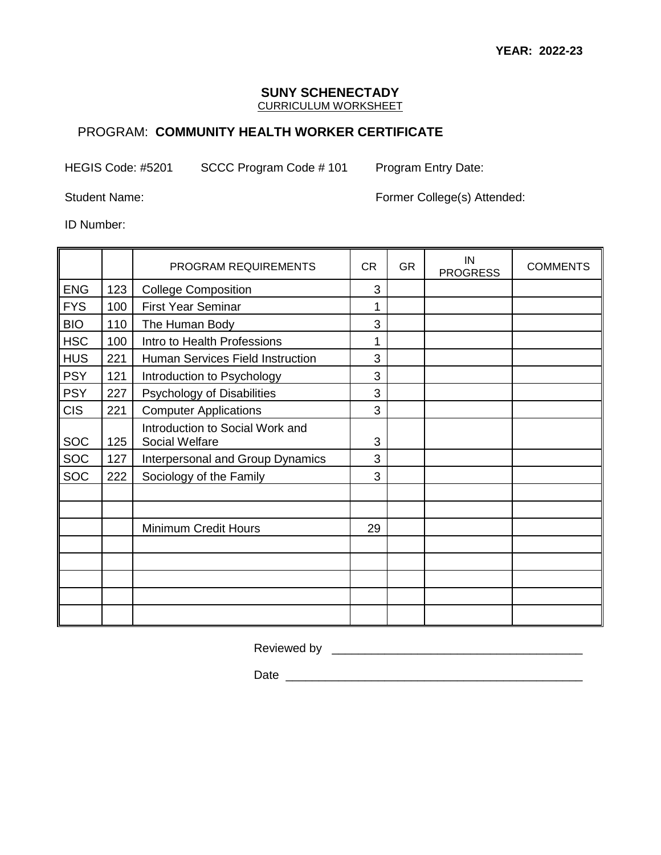## **SUNY SCHENECTADY**

CURRICULUM WORKSHEET

## PROGRAM: **COMMUNITY HEALTH WORKER CERTIFICATE**

HEGIS Code: #5201 SCCC Program Code # 101 Program Entry Date:

Student Name: Former College(s) Attended:

ID Number:

|            |     | <b>PROGRAM REQUIREMENTS</b>                       | <b>CR</b> | <b>GR</b> | IN<br><b>PROGRESS</b> | <b>COMMENTS</b> |
|------------|-----|---------------------------------------------------|-----------|-----------|-----------------------|-----------------|
| <b>ENG</b> | 123 | <b>College Composition</b>                        | 3         |           |                       |                 |
| <b>FYS</b> | 100 | <b>First Year Seminar</b>                         | 1         |           |                       |                 |
| <b>BIO</b> | 110 | The Human Body                                    | 3         |           |                       |                 |
| <b>HSC</b> | 100 | Intro to Health Professions                       | 1         |           |                       |                 |
| <b>HUS</b> | 221 | Human Services Field Instruction                  | 3         |           |                       |                 |
| <b>PSY</b> | 121 | Introduction to Psychology                        | 3         |           |                       |                 |
| <b>PSY</b> | 227 | Psychology of Disabilities                        | 3         |           |                       |                 |
| <b>CIS</b> | 221 | <b>Computer Applications</b>                      | 3         |           |                       |                 |
| <b>SOC</b> | 125 | Introduction to Social Work and<br>Social Welfare | 3         |           |                       |                 |
| SOC        | 127 | Interpersonal and Group Dynamics                  | 3         |           |                       |                 |
| <b>SOC</b> | 222 | Sociology of the Family                           | 3         |           |                       |                 |
|            |     |                                                   |           |           |                       |                 |
|            |     |                                                   |           |           |                       |                 |
|            |     | <b>Minimum Credit Hours</b>                       | 29        |           |                       |                 |
|            |     |                                                   |           |           |                       |                 |
|            |     |                                                   |           |           |                       |                 |
|            |     |                                                   |           |           |                       |                 |
|            |     |                                                   |           |           |                       |                 |
|            |     |                                                   |           |           |                       |                 |

Reviewed by \_\_\_\_\_\_\_\_\_\_\_\_\_\_\_\_\_\_\_\_\_\_\_\_\_\_\_\_\_\_\_\_\_\_\_\_\_\_

Date \_\_\_\_\_\_\_\_\_\_\_\_\_\_\_\_\_\_\_\_\_\_\_\_\_\_\_\_\_\_\_\_\_\_\_\_\_\_\_\_\_\_\_\_\_